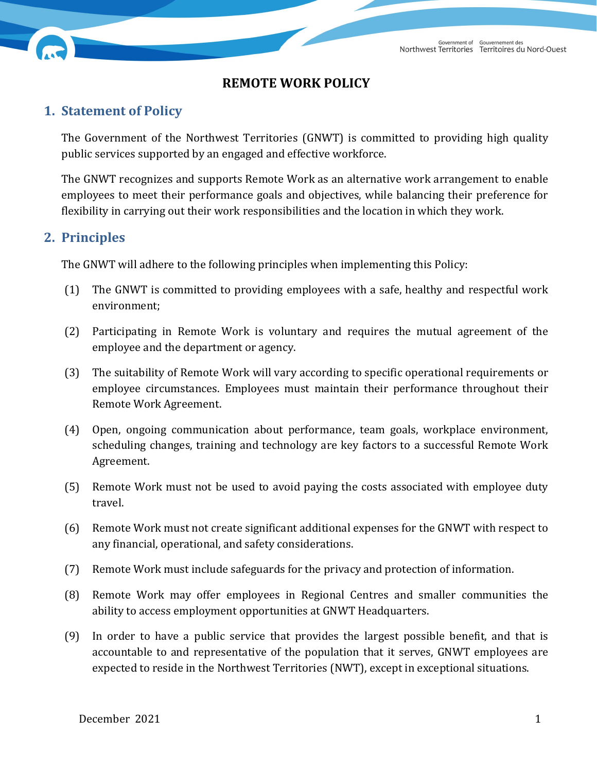## **REMOTE WORK POLICY**

## **1. Statement of Policy**

The Government of the Northwest Territories (GNWT) is committed to providing high quality public services supported by an engaged and effective workforce.

The GNWT recognizes and supports Remote Work as an alternative work arrangement to enable employees to meet their performance goals and objectives, while balancing their preference for flexibility in carrying out their work responsibilities and the location in which they work.

### **2. Principles**

The GNWT will adhere to the following principles when implementing this Policy:

- (1) The GNWT is committed to providing employees with a safe, healthy and respectful work environment;
- (2) Participating in Remote Work is voluntary and requires the mutual agreement of the employee and the department or agency.
- (3) The suitability of Remote Work will vary according to specific operational requirements or employee circumstances. Employees must maintain their performance throughout their Remote Work Agreement.
- (4) Open, ongoing communication about performance, team goals, workplace environment, scheduling changes, training and technology are key factors to a successful Remote Work Agreement.
- (5) Remote Work must not be used to avoid paying the costs associated with employee duty travel.
- (6) Remote Work must not create significant additional expenses for the GNWT with respect to any financial, operational, and safety considerations.
- (7) Remote Work must include safeguards for the privacy and protection of information.
- (8) Remote Work may offer employees in Regional Centres and smaller communities the ability to access employment opportunities at GNWT Headquarters.
- (9) In order to have a public service that provides the largest possible benefit, and that is accountable to and representative of the population that it serves, GNWT employees are expected to reside in the Northwest Territories (NWT), except in exceptional situations.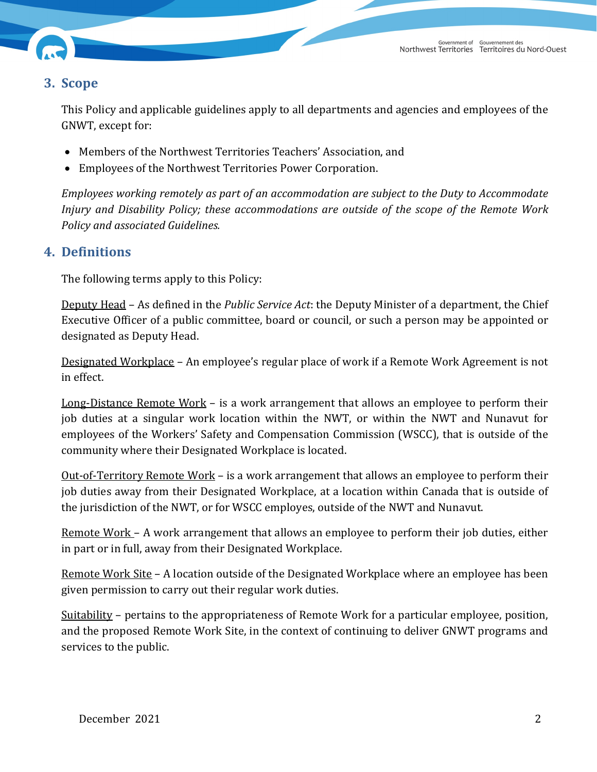

## **3. Scope**

This Policy and applicable guidelines apply to all departments and agencies and employees of the GNWT, except for:

- Members of the Northwest Territories Teachers' Association, and
- Employees of the Northwest Territories Power Corporation.

*Employees working remotely as part of an accommodation are subject to the Duty to Accommodate Injury and Disability Policy; these accommodations are outside of the scope of the Remote Work Policy and associated Guidelines.*

## **4. Definitions**

The following terms apply to this Policy:

Deputy Head – As defined in the *Public Service Act*: the Deputy Minister of a department, the Chief Executive Officer of a public committee, board or council, or such a person may be appointed or designated as Deputy Head.

Designated Workplace – An employee's regular place of work if a Remote Work Agreement is not in effect.

Long-Distance Remote Work – is a work arrangement that allows an employee to perform their job duties at a singular work location within the NWT, or within the NWT and Nunavut for employees of the Workers' Safety and Compensation Commission (WSCC), that is outside of the community where their Designated Workplace is located.

Out-of-Territory Remote Work – is a work arrangement that allows an employee to perform their job duties away from their Designated Workplace, at a location within Canada that is outside of the jurisdiction of the NWT, or for WSCC employes, outside of the NWT and Nunavut.

Remote Work - A work arrangement that allows an employee to perform their job duties, either in part or in full, away from their Designated Workplace.

Remote Work Site – A location outside of the Designated Workplace where an employee has been given permission to carry out their regular work duties.

Suitability – pertains to the appropriateness of Remote Work for a particular employee, position, and the proposed Remote Work Site, in the context of continuing to deliver GNWT programs and services to the public.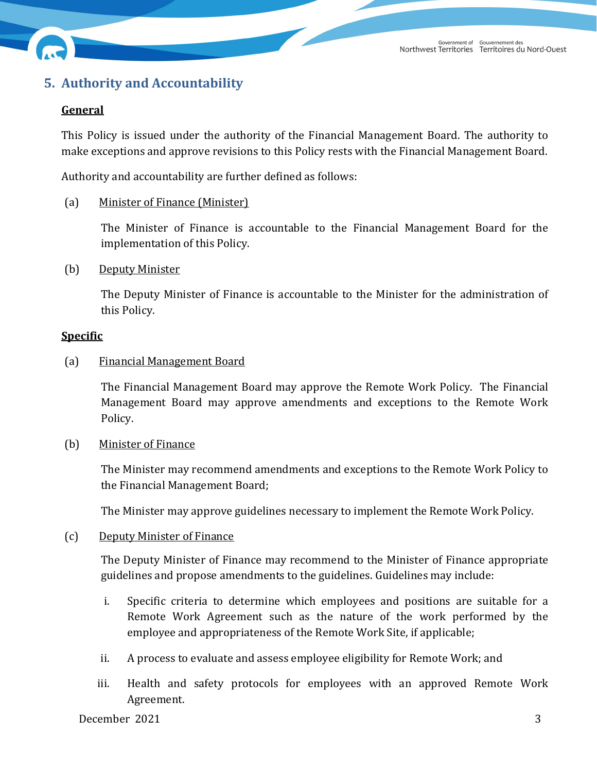

# **5. Authority and Accountability**

### **General**

This Policy is issued under the authority of the Financial Management Board. The authority to make exceptions and approve revisions to this Policy rests with the Financial Management Board.

Authority and accountability are further defined as follows:

#### (a) Minister of Finance (Minister)

The Minister of Finance is accountable to the Financial Management Board for the implementation of this Policy.

(b) Deputy Minister

The Deputy Minister of Finance is accountable to the Minister for the administration of this Policy.

#### **Specific**

(a) Financial Management Board

The Financial Management Board may approve the Remote Work Policy. The Financial Management Board may approve amendments and exceptions to the Remote Work Policy.

(b) Minister of Finance

The Minister may recommend amendments and exceptions to the Remote Work Policy to the Financial Management Board;

The Minister may approve guidelines necessary to implement the Remote Work Policy.

#### (c) Deputy Minister of Finance

The Deputy Minister of Finance may recommend to the Minister of Finance appropriate guidelines and propose amendments to the guidelines. Guidelines may include:

- i. Specific criteria to determine which employees and positions are suitable for a Remote Work Agreement such as the nature of the work performed by the employee and appropriateness of the Remote Work Site, if applicable;
- ii. A process to evaluate and assess employee eligibility for Remote Work; and
- iii. Health and safety protocols for employees with an approved Remote Work Agreement.

December 2021 3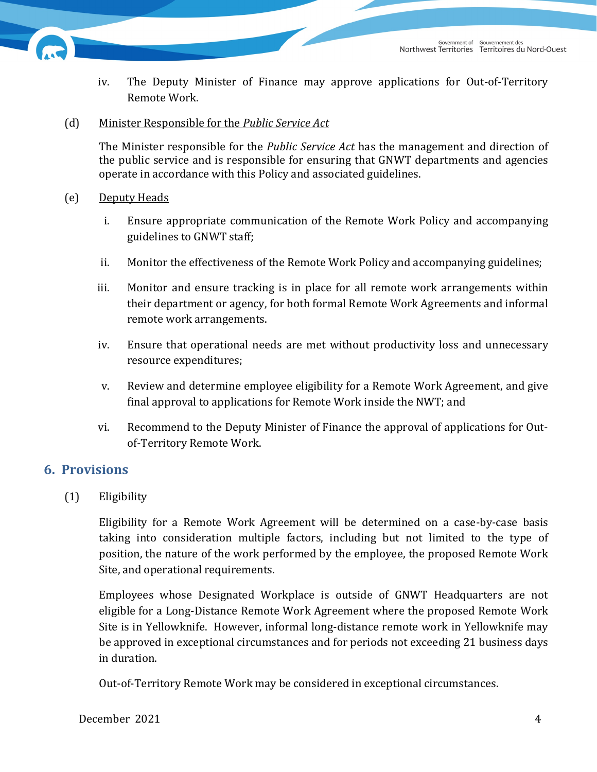

- iv. The Deputy Minister of Finance may approve applications for Out-of-Territory Remote Work.
- (d) Minister Responsible for the *Public Service Act*

The Minister responsible for the *Public Service Act* has the management and direction of the public service and is responsible for ensuring that GNWT departments and agencies operate in accordance with this Policy and associated guidelines.

#### (e) Deputy Heads

- i. Ensure appropriate communication of the Remote Work Policy and accompanying guidelines to GNWT staff;
- ii. Monitor the effectiveness of the Remote Work Policy and accompanying guidelines;
- iii. Monitor and ensure tracking is in place for all remote work arrangements within their department or agency, for both formal Remote Work Agreements and informal remote work arrangements.
- iv. Ensure that operational needs are met without productivity loss and unnecessary resource expenditures;
- v. Review and determine employee eligibility for a Remote Work Agreement, and give final approval to applications for Remote Work inside the NWT; and
- vi. Recommend to the Deputy Minister of Finance the approval of applications for Outof-Territory Remote Work.

### **6. Provisions**

(1) Eligibility

Eligibility for a Remote Work Agreement will be determined on a case-by-case basis taking into consideration multiple factors, including but not limited to the type of position, the nature of the work performed by the employee, the proposed Remote Work Site, and operational requirements.

Employees whose Designated Workplace is outside of GNWT Headquarters are not eligible for a Long-Distance Remote Work Agreement where the proposed Remote Work Site is in Yellowknife. However, informal long-distance remote work in Yellowknife may be approved in exceptional circumstances and for periods not exceeding 21 business days in duration.

Out-of-Territory Remote Work may be considered in exceptional circumstances.